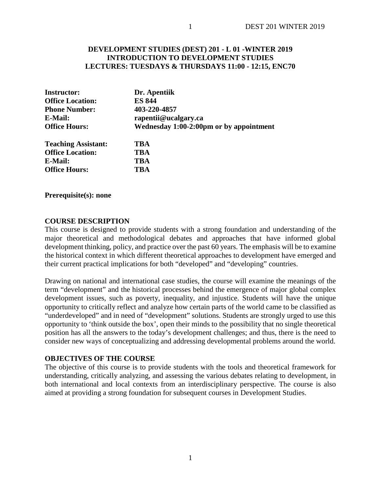### **DEVELOPMENT STUDIES (DEST) 201 - L 01 -WINTER 2019 INTRODUCTION TO DEVELOPMENT STUDIES LECTURES: TUESDAYS & THURSDAYS 11:00 - 12:15, ENC70**

| <b>Instructor:</b>         | Dr. Apentiik                            |  |  |
|----------------------------|-----------------------------------------|--|--|
| <b>Office Location:</b>    | <b>ES 844</b>                           |  |  |
| <b>Phone Number:</b>       | 403-220-4857                            |  |  |
| E-Mail:                    | rapentii@ucalgary.ca                    |  |  |
| <b>Office Hours:</b>       | Wednesday 1:00-2:00pm or by appointment |  |  |
| <b>Teaching Assistant:</b> | TBA                                     |  |  |
| <b>Office Location:</b>    | TBA                                     |  |  |
| E-Mail:                    | <b>TBA</b>                              |  |  |
| <b>Office Hours:</b>       | TBA                                     |  |  |

**Prerequisite(s): none**

#### **COURSE DESCRIPTION**

This course is designed to provide students with a strong foundation and understanding of the major theoretical and methodological debates and approaches that have informed global development thinking, policy, and practice over the past 60 years. The emphasis will be to examine the historical context in which different theoretical approaches to development have emerged and their current practical implications for both "developed" and "developing" countries.

Drawing on national and international case studies, the course will examine the meanings of the term "development" and the historical processes behind the emergence of major global complex development issues, such as poverty, inequality, and injustice. Students will have the unique opportunity to critically reflect and analyze how certain parts of the world came to be classified as "underdeveloped" and in need of "development" solutions. Students are strongly urged to use this opportunity to 'think outside the box', open their minds to the possibility that no single theoretical position has all the answers to the today's development challenges; and thus, there is the need to consider new ways of conceptualizing and addressing developmental problems around the world.

#### **OBJECTIVES OF THE COURSE**

The objective of this course is to provide students with the tools and theoretical framework for understanding, critically analyzing, and assessing the various debates relating to development, in both international and local contexts from an interdisciplinary perspective. The course is also aimed at providing a strong foundation for subsequent courses in Development Studies.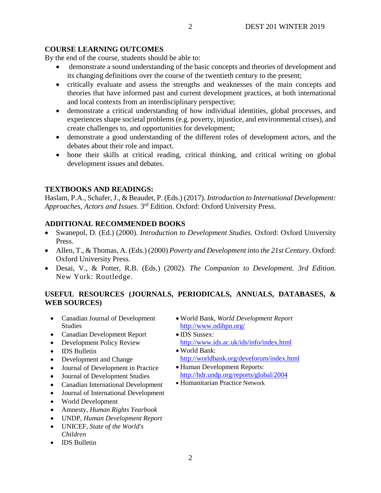## **COURSE LEARNING OUTCOMES**

By the end of the course, students should be able to:

- demonstrate a sound understanding of the basic concepts and theories of development and its changing definitions over the course of the twentieth century to the present;
- critically evaluate and assess the strengths and weaknesses of the main concepts and theories that have informed past and current development practices, at both international and local contexts from an interdisciplinary perspective;
- demonstrate a critical understanding of how individual identities, global processes, and experiences shape societal problems (e.g. poverty, injustice, and environmental crises), and create challenges to, and opportunities for development;
- demonstrate a good understanding of the different roles of development actors, and the debates about their role and impact.
- hone their skills at critical reading, critical thinking, and critical writing on global development issues and debates.

## **TEXTBOOKS AND READINGS:**

Haslam, P.A., Schafer, J., & Beaudet, P. (Eds.) (2017). *Introduction to International Development: Approaches, Actors and Issues.* 3rd Edition. Oxford: Oxford University Press.

# **ADDITIONAL RECOMMENDED BOOKS**

- Swanepol, D. (Ed.) (2000). *Introduction to Development Studies*. Oxford: Oxford University Press.
- Allen, T., & Thomas, A. (Eds.) (2000) *Poverty and Development into the 21st Century*. Oxford: Oxford University Press.
- Desai, V., & Potter, R.B. (Eds.) (2002). *The Companion to Development. 3rd Edition.*  New York: Routledge.

# **USEFUL RESOURCES (JOURNALS, PERIODICALS, ANNUALS, DATABASES, & WEB SOURCES)**

- Canadian Journal of Development Studies
- Canadian Development Report
- Development Policy Review
- IDS Bulletin
- Development and Change
- Journal of Development in Practice
- Journal of Development Studies
- Canadian International Development
- Journal of International Development
- World Development
- Amnesty, *Human Rights Yearbook*
- UNDP, *Human Development Report*
- UNICEF, *State of the World's Children*
- IDS Bulletin
- World Bank, *World Development Report*  <http://www.odihpn.org/>
- IDS Sussex: <http://www.ids.ac.uk/ids/info/index.html>
- World Bank: <http://worldbank.org/deveforum/index.html>
- Human Development Reports: <http://hdr.undp.org/reports/global/2004>
- Humanitarian Practice Network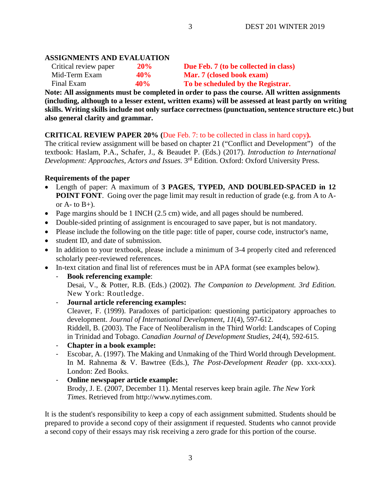## **ASSIGNMENTS AND EVALUATION**

| Critical review paper | 20% | Due Feb. 7 (to be collected in class) |
|-----------------------|-----|---------------------------------------|
| Mid-Term Exam         | 40% | <b>Mar. 7 (closed book exam)</b>      |
| Final Exam            | 40% | To be scheduled by the Registrar.     |

**Note: All assignments must be completed in order to pass the course. All written assignments (including, although to a lesser extent, written exams) will be assessed at least partly on writing skills. Writing skills include not only surface correctness (punctuation, sentence structure etc.) but also general clarity and grammar.**

3

### **CRITICAL REVIEW PAPER 20% (**Due Feb. 7: to be collected in class in hard copy**).**

The critical review assignment will be based on chapter 21 ("Conflict and Development") of the textbook: Haslam, P.A., Schafer, J., & Beaudet P. (Eds.) (2017). *Introduction to International Development: Approaches, Actors and Issues.*  $3<sup>rd</sup>$  Edition. Oxford: Oxford University Press.

#### **Requirements of the paper**

- Length of paper: A maximum of **3 PAGES, TYPED, AND DOUBLED-SPACED in 12 POINT FONT**. Going over the page limit may result in reduction of grade (e.g. from A to Aor  $A$ - to  $B$ +).
- Page margins should be 1 INCH (2.5 cm) wide, and all pages should be numbered.
- Double-sided printing of assignment is encouraged to save paper, but is not mandatory.
- Please include the following on the title page: title of paper, course code, instructor's name,
- student ID, and date of submission.
- In addition to your textbook, please include a minimum of 3-4 properly cited and referenced scholarly peer-reviewed references.
- In-text citation and final list of references must be in APA format (see examples below).
	- **Book referencing example**: Desai, V., & Potter, R.B. (Eds.) (2002). *The Companion to Development. 3rd Edition.*  New York: Routledge.

### - **Journal article referencing examples:**

Cleaver, F. (1999). Paradoxes of participation: questioning participatory approaches to development. *Journal of International Development*, *11*(4), 597-612.

Riddell, B. (2003). The Face of Neoliberalism in the Third World: Landscapes of Coping in Trinidad and Tobago. *Canadian Journal of Development Studies, 24*(4), 592-615.

- **Chapter in a book example:**
- Escobar, A. (1997). The Making and Unmaking of the Third World through Development. In M. Rahnema & V. Bawtree (Eds.), *The Post-Development Reader* (pp. xxx-xxx). London: Zed Books.

### - **Online newspaper article example:**

Brody, J. E. (2007, December 11). Mental reserves keep brain agile. *The New York Times*. Retrieved from http://www.nytimes.com.

It is the student's responsibility to keep a copy of each assignment submitted. Students should be prepared to provide a second copy of their assignment if requested. Students who cannot provide a second copy of their essays may risk receiving a zero grade for this portion of the course.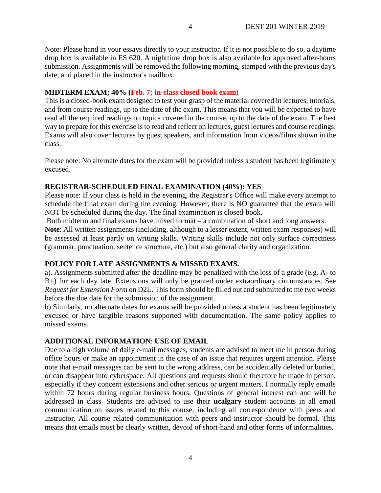Note: Please hand in your essays directly to your instructor. If it is not possible to do so, a daytime drop box is available in ES 620. A nighttime drop box is also available for approved after-hours submission. Assignments will be removed the following morning, stamped with the previous day's date, and placed in the instructor's mailbox.

#### **MIDTERM EXAM; 40% (Feb. 7; in-class closed book exam)**

This is a closed-book exam designed to test your grasp of the material covered in lectures, tutorials, and from course readings, up to the date of the exam. This means that you will be expected to have read all the required readings on topics covered in the course, up to the date of the exam. The best way to prepare for this exercise is to read and reflect on lectures, guest lectures and course readings. Exams will also cover lectures by guest speakers, and information from videos/films shown in the class.

Please note: No alternate dates for the exam will be provided unless a student has been legitimately excused.

#### **REGISTRAR-SCHEDULED FINAL EXAMINATION (40%): YES**

Please note: If your class is held in the evening, the Registrar's Office will make every attempt to schedule the final exam during the evening. However, there is NO guarantee that the exam will NOT be scheduled during the day. The final examination is closed-book.

Both midterm and final exams have mixed format – a combination of short and long answers.

**Note**: All written assignments (including, although to a lesser extent, written exam responses) will be assessed at least partly on writing skills. Writing skills include not only surface correctness (grammar, punctuation, sentence structure, etc.) but also general clarity and organization.

### **POLICY FOR LATE ASSIGNMENTS & MISSED EXAMS.**

a). Assignments submitted after the deadline may be penalized with the loss of a grade (e.g. A- to B+) for each day late. Extensions will only be granted under extraordinary circumstances. See *Request for Extension Form* on D2L. This form should be filled out and submitted to me two weeks before the due date for the submission of the assignment.

b) Similarly, no alternate dates for exams will be provided unless a student has been legitimately excused or have tangible reasons supported with documentation. The same policy applies to missed exams.

### **ADDITIONAL INFORMATION**: **USE OF EMAIL**

Due to a high volume of daily e-mail messages, students are advised to meet me in person during office hours or make an appointment in the case of an issue that requires urgent attention. Please note that e-mail messages can be sent to the wrong address, can be accidentally deleted or buried, or can disappear into cyberspace. All questions and requests should therefore be made in person, especially if they concern extensions and other serious or urgent matters. I normally reply emails within 72 hours during regular business hours. Questions of general interest can and will be addressed in class. Students are advised to use their **ucalgary** student accounts in all email communication on issues related to this course, including all correspondence with peers and Instructor. All course related communication with peers and instructor should be formal. This means that emails must be clearly written, devoid of short-hand and other forms of informalities.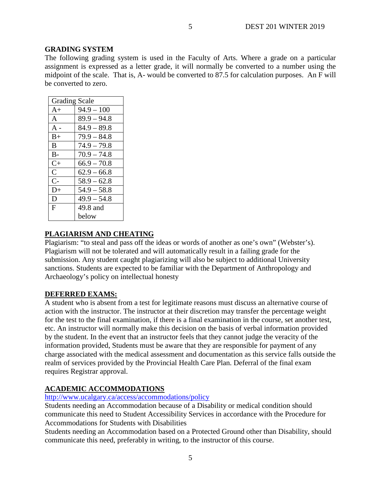### **GRADING SYSTEM**

The following grading system is used in the Faculty of Arts. Where a grade on a particular assignment is expressed as a letter grade, it will normally be converted to a number using the midpoint of the scale. That is, A- would be converted to 87.5 for calculation purposes. An F will be converted to zero.

| <b>Grading Scale</b> |               |  |
|----------------------|---------------|--|
| $A+$                 | $94.9 - 100$  |  |
| A                    | $89.9 - 94.8$ |  |
| $A -$                | $84.9 - 89.8$ |  |
| $B+$                 | $79.9 - 84.8$ |  |
| B                    | $74.9 - 79.8$ |  |
| $B-$                 | $70.9 - 74.8$ |  |
| $C+$                 | $66.9 - 70.8$ |  |
| $\overline{C}$       | $62.9 - 66.8$ |  |
| $C-$                 | $58.9 - 62.8$ |  |
| $D+$                 | $54.9 - 58.8$ |  |
| D                    | $49.9 - 54.8$ |  |
| F                    | 49.8 and      |  |
|                      | below         |  |

### **PLAGIARISM AND CHEATING**

Plagiarism: "to steal and pass off the ideas or words of another as one's own" (Webster's). Plagiarism will not be tolerated and will automatically result in a failing grade for the submission. Any student caught plagiarizing will also be subject to additional University sanctions. Students are expected to be familiar with the Department of Anthropology and Archaeology's policy on intellectual honesty

### **DEFERRED EXAMS:**

A student who is absent from a test for legitimate reasons must discuss an alternative course of action with the instructor. The instructor at their discretion may transfer the percentage weight for the test to the final examination, if there is a final examination in the course, set another test, etc. An instructor will normally make this decision on the basis of verbal information provided by the student. In the event that an instructor feels that they cannot judge the veracity of the information provided, Students must be aware that they are responsible for payment of any charge associated with the medical assessment and documentation as this service falls outside the realm of services provided by the Provincial Health Care Plan. Deferral of the final exam requires Registrar approval.

### **ACADEMIC ACCOMMODATIONS**

### <http://www.ucalgary.ca/access/accommodations/policy>

Students needing an Accommodation because of a Disability or medical condition should communicate this need to Student Accessibility Services in accordance with the Procedure for Accommodations for Students with Disabilities

Students needing an Accommodation based on a Protected Ground other than Disability, should communicate this need, preferably in writing, to the instructor of this course.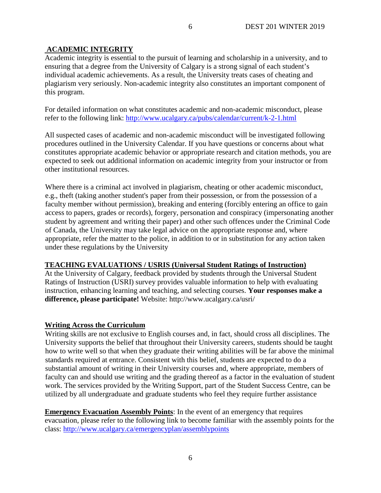# **ACADEMIC INTEGRITY**

Academic integrity is essential to the pursuit of learning and scholarship in a university, and to ensuring that a degree from the University of Calgary is a strong signal of each student's individual academic achievements. As a result, the University treats cases of cheating and plagiarism very seriously. Non-academic integrity also constitutes an important component of this program.

6

For detailed information on what constitutes academic and non-academic misconduct, please refer to the following link:<http://www.ucalgary.ca/pubs/calendar/current/k-2-1.html>

All suspected cases of academic and non-academic misconduct will be investigated following procedures outlined in the University Calendar. If you have questions or concerns about what constitutes appropriate academic behavior or appropriate research and citation methods, you are expected to seek out additional information on academic integrity from your instructor or from other institutional resources.

Where there is a criminal act involved in plagiarism, cheating or other academic misconduct, e.g., theft (taking another student's paper from their possession, or from the possession of a faculty member without permission), breaking and entering (forcibly entering an office to gain access to papers, grades or records), forgery, personation and conspiracy (impersonating another student by agreement and writing their paper) and other such offences under the Criminal Code of Canada, the University may take legal advice on the appropriate response and, where appropriate, refer the matter to the police, in addition to or in substitution for any action taken under these regulations by the University

# **TEACHING EVALUATIONS / USRIS (Universal Student Ratings of Instruction)**

At the University of Calgary, feedback provided by students through the Universal Student Ratings of Instruction (USRI) survey provides valuable information to help with evaluating instruction, enhancing learning and teaching, and selecting courses. **Your responses make a difference, please participate!** Website: http://www.ucalgary.ca/usri/

# **Writing Across the Curriculum**

Writing skills are not exclusive to English courses and, in fact, should cross all disciplines. The University supports the belief that throughout their University careers, students should be taught how to write well so that when they graduate their writing abilities will be far above the minimal standards required at entrance. Consistent with this belief, students are expected to do a substantial amount of writing in their University courses and, where appropriate, members of faculty can and should use writing and the grading thereof as a factor in the evaluation of student work. The services provided by the Writing Support, part of the Student Success Centre, can be utilized by all undergraduate and graduate students who feel they require further assistance

**Emergency Evacuation Assembly Points**: In the event of an emergency that requires evacuation, please refer to the following link to become familiar with the assembly points for the class:<http://www.ucalgary.ca/emergencyplan/assemblypoints>